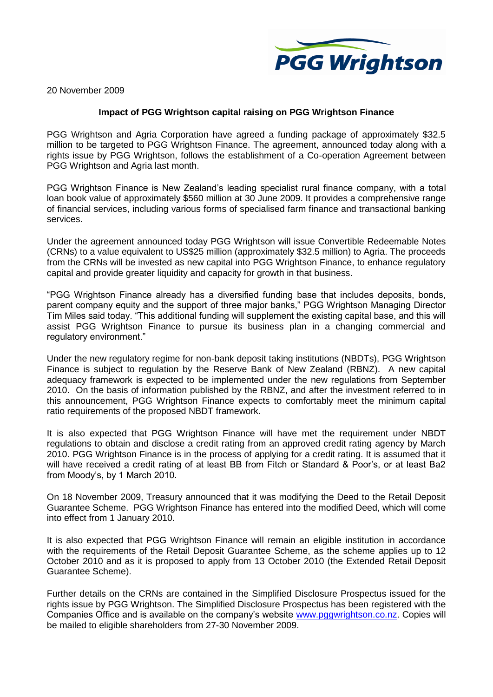

20 November 2009

## **Impact of PGG Wrightson capital raising on PGG Wrightson Finance**

PGG Wrightson and Agria Corporation have agreed a funding package of approximately \$32.5 million to be targeted to PGG Wrightson Finance. The agreement, announced today along with a rights issue by PGG Wrightson, follows the establishment of a Co-operation Agreement between PGG Wrightson and Agria last month.

PGG Wrightson Finance is New Zealand's leading specialist rural finance company, with a total loan book value of approximately \$560 million at 30 June 2009. It provides a comprehensive range of financial services, including various forms of specialised farm finance and transactional banking services.

Under the agreement announced today PGG Wrightson will issue Convertible Redeemable Notes (CRNs) to a value equivalent to US\$25 million (approximately \$32.5 million) to Agria. The proceeds from the CRNs will be invested as new capital into PGG Wrightson Finance, to enhance regulatory capital and provide greater liquidity and capacity for growth in that business.

"PGG Wrightson Finance already has a diversified funding base that includes deposits, bonds, parent company equity and the support of three major banks," PGG Wrightson Managing Director Tim Miles said today. "This additional funding will supplement the existing capital base, and this will assist PGG Wrightson Finance to pursue its business plan in a changing commercial and regulatory environment."

Under the new regulatory regime for non-bank deposit taking institutions (NBDTs), PGG Wrightson Finance is subject to regulation by the Reserve Bank of New Zealand (RBNZ). A new capital adequacy framework is expected to be implemented under the new regulations from September 2010. On the basis of information published by the RBNZ, and after the investment referred to in this announcement, PGG Wrightson Finance expects to comfortably meet the minimum capital ratio requirements of the proposed NBDT framework.

It is also expected that PGG Wrightson Finance will have met the requirement under NBDT regulations to obtain and disclose a credit rating from an approved credit rating agency by March 2010. PGG Wrightson Finance is in the process of applying for a credit rating. It is assumed that it will have received a credit rating of at least BB from Fitch or Standard & Poor's, or at least Ba2 from Moody's, by 1 March 2010.

On 18 November 2009, Treasury announced that it was modifying the Deed to the Retail Deposit Guarantee Scheme. PGG Wrightson Finance has entered into the modified Deed, which will come into effect from 1 January 2010.

It is also expected that PGG Wrightson Finance will remain an eligible institution in accordance with the requirements of the Retail Deposit Guarantee Scheme, as the scheme applies up to 12 October 2010 and as it is proposed to apply from 13 October 2010 (the Extended Retail Deposit Guarantee Scheme).

Further details on the CRNs are contained in the Simplified Disclosure Prospectus issued for the rights issue by PGG Wrightson. The Simplified Disclosure Prospectus has been registered with the Companies Office and is available on the company's website [www.pggwrightson.co.nz.](http://www.pggwrightson.co.nz/) Copies will be mailed to eligible shareholders from 27-30 November 2009.